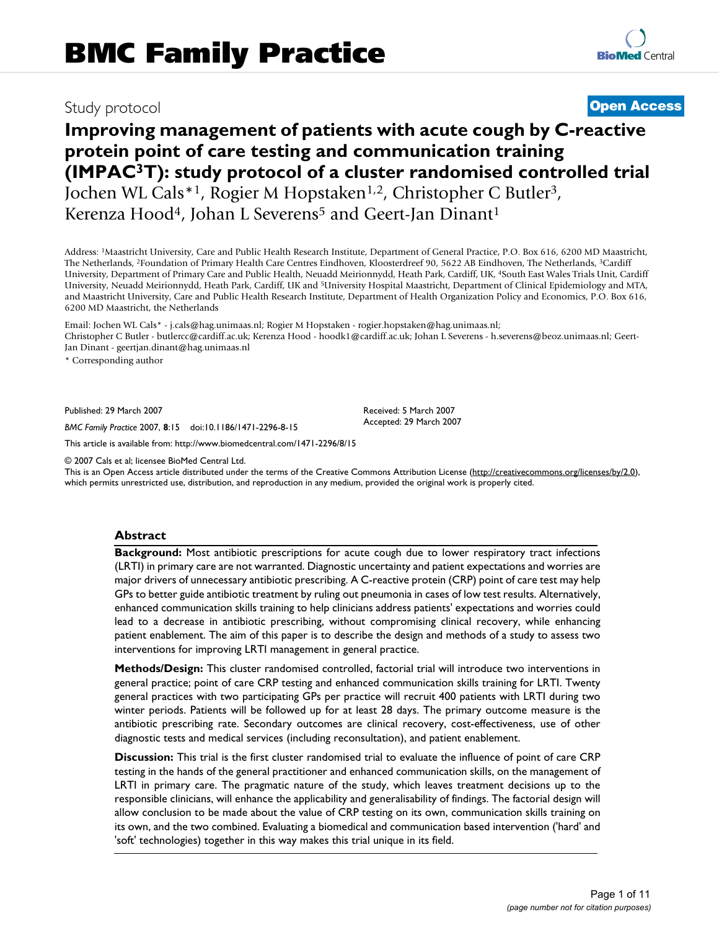# Study protocol **[Open Access](http://www.biomedcentral.com/info/about/charter/)**

# **Improving management of patients with acute cough by C-reactive protein point of care testing and communication training (IMPAC3T): study protocol of a cluster randomised controlled trial** Jochen WL Cals\*<sup>1</sup>, Rogier M Hopstaken<sup>1,2</sup>, Christopher C Butler<sup>3</sup>, Kerenza Hood<sup>4</sup>, Johan L Severens<sup>5</sup> and Geert-Jan Dinant<sup>1</sup>

Address: 1Maastricht University, Care and Public Health Research Institute, Department of General Practice, P.O. Box 616, 6200 MD Maastricht, The Netherlands, 2Foundation of Primary Health Care Centres Eindhoven, Kloosterdreef 90, 5622 AB Eindhoven, The Netherlands, 3Cardiff University, Department of Primary Care and Public Health, Neuadd Meirionnydd, Heath Park, Cardiff, UK, 4South East Wales Trials Unit, Cardiff University, Neuadd Meirionnydd, Heath Park, Cardiff, UK and 5University Hospital Maastricht, Department of Clinical Epidemiology and MTA, and Maastricht University, Care and Public Health Research Institute, Department of Health Organization Policy and Economics, P.O. Box 616, 6200 MD Maastricht, the Netherlands

Email: Jochen WL Cals\* - j.cals@hag.unimaas.nl; Rogier M Hopstaken - rogier.hopstaken@hag.unimaas.nl; Christopher C Butler - butlercc@cardiff.ac.uk; Kerenza Hood - hoodk1@cardiff.ac.uk; Johan L Severens - h.severens@beoz.unimaas.nl; Geert-Jan Dinant - geertjan.dinant@hag.unimaas.nl

\* Corresponding author

Published: 29 March 2007

*BMC Family Practice* 2007, **8**:15 doi:10.1186/1471-2296-8-15

[This article is available from: http://www.biomedcentral.com/1471-2296/8/15](http://www.biomedcentral.com/1471-2296/8/15)

© 2007 Cals et al; licensee BioMed Central Ltd.

This is an Open Access article distributed under the terms of the Creative Commons Attribution License [\(http://creativecommons.org/licenses/by/2.0\)](http://creativecommons.org/licenses/by/2.0), which permits unrestricted use, distribution, and reproduction in any medium, provided the original work is properly cited.

Received: 5 March 2007 Accepted: 29 March 2007

### **Abstract**

**Background:** Most antibiotic prescriptions for acute cough due to lower respiratory tract infections (LRTI) in primary care are not warranted. Diagnostic uncertainty and patient expectations and worries are major drivers of unnecessary antibiotic prescribing. A C-reactive protein (CRP) point of care test may help GPs to better guide antibiotic treatment by ruling out pneumonia in cases of low test results. Alternatively, enhanced communication skills training to help clinicians address patients' expectations and worries could lead to a decrease in antibiotic prescribing, without compromising clinical recovery, while enhancing patient enablement. The aim of this paper is to describe the design and methods of a study to assess two interventions for improving LRTI management in general practice.

**Methods/Design:** This cluster randomised controlled, factorial trial will introduce two interventions in general practice; point of care CRP testing and enhanced communication skills training for LRTI. Twenty general practices with two participating GPs per practice will recruit 400 patients with LRTI during two winter periods. Patients will be followed up for at least 28 days. The primary outcome measure is the antibiotic prescribing rate. Secondary outcomes are clinical recovery, cost-effectiveness, use of other diagnostic tests and medical services (including reconsultation), and patient enablement.

**Discussion:** This trial is the first cluster randomised trial to evaluate the influence of point of care CRP testing in the hands of the general practitioner and enhanced communication skills, on the management of LRTI in primary care. The pragmatic nature of the study, which leaves treatment decisions up to the responsible clinicians, will enhance the applicability and generalisability of findings. The factorial design will allow conclusion to be made about the value of CRP testing on its own, communication skills training on its own, and the two combined. Evaluating a biomedical and communication based intervention ('hard' and 'soft' technologies) together in this way makes this trial unique in its field.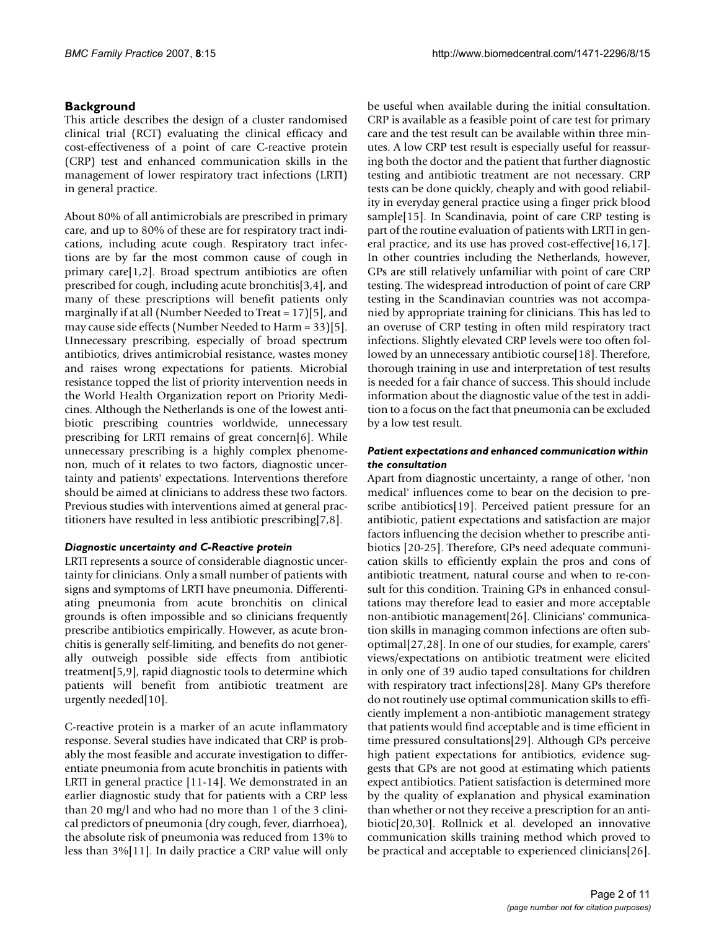# **Background**

This article describes the design of a cluster randomised clinical trial (RCT) evaluating the clinical efficacy and cost-effectiveness of a point of care C-reactive protein (CRP) test and enhanced communication skills in the management of lower respiratory tract infections (LRTI) in general practice.

About 80% of all antimicrobials are prescribed in primary care, and up to 80% of these are for respiratory tract indications, including acute cough. Respiratory tract infections are by far the most common cause of cough in primary care[1,2]. Broad spectrum antibiotics are often prescribed for cough, including acute bronchitis[3,4], and many of these prescriptions will benefit patients only marginally if at all (Number Needed to Treat = 17)[5], and may cause side effects (Number Needed to Harm = 33)[5]. Unnecessary prescribing, especially of broad spectrum antibiotics, drives antimicrobial resistance, wastes money and raises wrong expectations for patients. Microbial resistance topped the list of priority intervention needs in the World Health Organization report on Priority Medicines. Although the Netherlands is one of the lowest antibiotic prescribing countries worldwide, unnecessary prescribing for LRTI remains of great concern[6]. While unnecessary prescribing is a highly complex phenomenon, much of it relates to two factors, diagnostic uncertainty and patients' expectations. Interventions therefore should be aimed at clinicians to address these two factors. Previous studies with interventions aimed at general practitioners have resulted in less antibiotic prescribing[7,8].

# *Diagnostic uncertainty and C-Reactive protein*

LRTI represents a source of considerable diagnostic uncertainty for clinicians. Only a small number of patients with signs and symptoms of LRTI have pneumonia. Differentiating pneumonia from acute bronchitis on clinical grounds is often impossible and so clinicians frequently prescribe antibiotics empirically. However, as acute bronchitis is generally self-limiting, and benefits do not generally outweigh possible side effects from antibiotic treatment[5,9], rapid diagnostic tools to determine which patients will benefit from antibiotic treatment are urgently needed[10].

C-reactive protein is a marker of an acute inflammatory response. Several studies have indicated that CRP is probably the most feasible and accurate investigation to differentiate pneumonia from acute bronchitis in patients with LRTI in general practice [11-14]. We demonstrated in an earlier diagnostic study that for patients with a CRP less than 20 mg/l and who had no more than 1 of the 3 clinical predictors of pneumonia (dry cough, fever, diarrhoea), the absolute risk of pneumonia was reduced from 13% to less than 3%[11]. In daily practice a CRP value will only be useful when available during the initial consultation. CRP is available as a feasible point of care test for primary care and the test result can be available within three minutes. A low CRP test result is especially useful for reassuring both the doctor and the patient that further diagnostic testing and antibiotic treatment are not necessary. CRP tests can be done quickly, cheaply and with good reliability in everyday general practice using a finger prick blood sample[15]. In Scandinavia, point of care CRP testing is part of the routine evaluation of patients with LRTI in general practice, and its use has proved cost-effective[16,17]. In other countries including the Netherlands, however, GPs are still relatively unfamiliar with point of care CRP testing. The widespread introduction of point of care CRP testing in the Scandinavian countries was not accompanied by appropriate training for clinicians. This has led to an overuse of CRP testing in often mild respiratory tract infections. Slightly elevated CRP levels were too often followed by an unnecessary antibiotic course[18]. Therefore, thorough training in use and interpretation of test results is needed for a fair chance of success. This should include information about the diagnostic value of the test in addition to a focus on the fact that pneumonia can be excluded by a low test result.

# *Patient expectations and enhanced communication within the consultation*

Apart from diagnostic uncertainty, a range of other, 'non medical' influences come to bear on the decision to prescribe antibiotics[19]. Perceived patient pressure for an antibiotic, patient expectations and satisfaction are major factors influencing the decision whether to prescribe antibiotics [20-25]. Therefore, GPs need adequate communication skills to efficiently explain the pros and cons of antibiotic treatment, natural course and when to re-consult for this condition. Training GPs in enhanced consultations may therefore lead to easier and more acceptable non-antibiotic management[26]. Clinicians' communication skills in managing common infections are often suboptimal[27,28]. In one of our studies, for example, carers' views/expectations on antibiotic treatment were elicited in only one of 39 audio taped consultations for children with respiratory tract infections[28]. Many GPs therefore do not routinely use optimal communication skills to efficiently implement a non-antibiotic management strategy that patients would find acceptable and is time efficient in time pressured consultations[29]. Although GPs perceive high patient expectations for antibiotics, evidence suggests that GPs are not good at estimating which patients expect antibiotics. Patient satisfaction is determined more by the quality of explanation and physical examination than whether or not they receive a prescription for an antibiotic[20,30]. Rollnick et al. developed an innovative communication skills training method which proved to be practical and acceptable to experienced clinicians[26].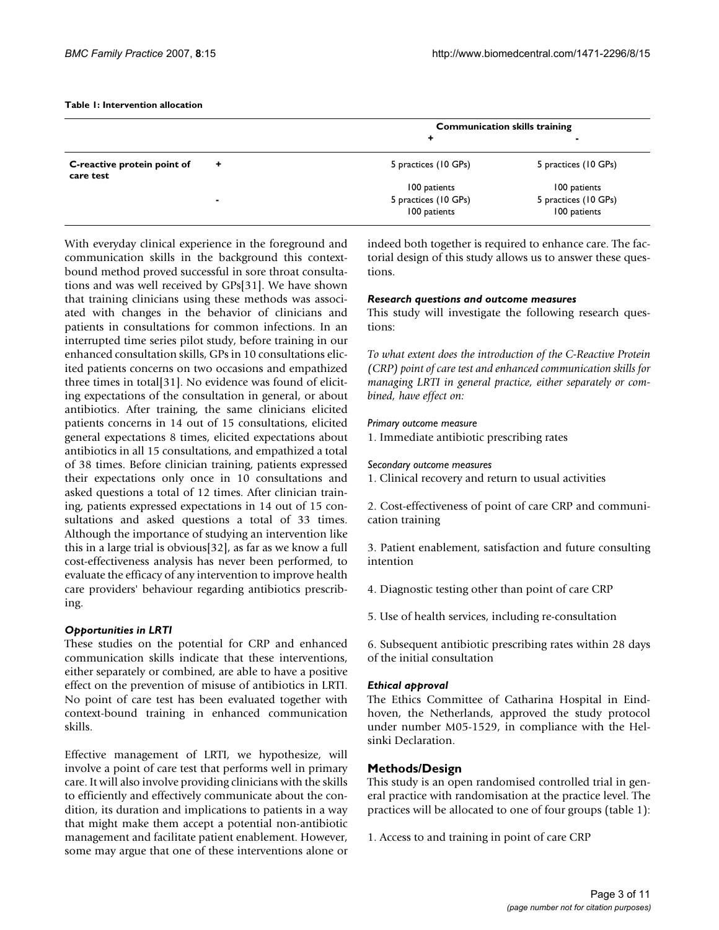### **Table 1: Intervention allocation**

|                                          |   | <b>Communication skills training</b> |                      |
|------------------------------------------|---|--------------------------------------|----------------------|
|                                          |   | ۰                                    | -                    |
| C-reactive protein point of<br>care test | ٠ | 5 practices (10 GPs)                 | 5 practices (10 GPs) |
|                                          |   | 100 patients                         | 100 patients         |
|                                          | ۰ | 5 practices (10 GPs)                 | 5 practices (10 GPs) |
|                                          |   | 100 patients                         | 100 patients         |

With everyday clinical experience in the foreground and communication skills in the background this contextbound method proved successful in sore throat consultations and was well received by GPs[31]. We have shown that training clinicians using these methods was associated with changes in the behavior of clinicians and patients in consultations for common infections. In an interrupted time series pilot study, before training in our enhanced consultation skills, GPs in 10 consultations elicited patients concerns on two occasions and empathized three times in total[31]. No evidence was found of eliciting expectations of the consultation in general, or about antibiotics. After training, the same clinicians elicited patients concerns in 14 out of 15 consultations, elicited general expectations 8 times, elicited expectations about antibiotics in all 15 consultations, and empathized a total of 38 times. Before clinician training, patients expressed their expectations only once in 10 consultations and asked questions a total of 12 times. After clinician training, patients expressed expectations in 14 out of 15 consultations and asked questions a total of 33 times. Although the importance of studying an intervention like this in a large trial is obvious[32], as far as we know a full cost-effectiveness analysis has never been performed, to evaluate the efficacy of any intervention to improve health care providers' behaviour regarding antibiotics prescribing.

# *Opportunities in LRTI*

These studies on the potential for CRP and enhanced communication skills indicate that these interventions, either separately or combined, are able to have a positive effect on the prevention of misuse of antibiotics in LRTI. No point of care test has been evaluated together with context-bound training in enhanced communication skills.

Effective management of LRTI, we hypothesize, will involve a point of care test that performs well in primary care. It will also involve providing clinicians with the skills to efficiently and effectively communicate about the condition, its duration and implications to patients in a way that might make them accept a potential non-antibiotic management and facilitate patient enablement. However, some may argue that one of these interventions alone or indeed both together is required to enhance care. The factorial design of this study allows us to answer these questions.

### *Research questions and outcome measures*

This study will investigate the following research questions:

*To what extent does the introduction of the C-Reactive Protein (CRP) point of care test and enhanced communication skills for managing LRTI in general practice, either separately or combined, have effect on:*

### *Primary outcome measure*

1. Immediate antibiotic prescribing rates

*Secondary outcome measures*

1. Clinical recovery and return to usual activities

2. Cost-effectiveness of point of care CRP and communication training

3. Patient enablement, satisfaction and future consulting intention

- 4. Diagnostic testing other than point of care CRP
- 5. Use of health services, including re-consultation

6. Subsequent antibiotic prescribing rates within 28 days of the initial consultation

### *Ethical approval*

The Ethics Committee of Catharina Hospital in Eindhoven, the Netherlands, approved the study protocol under number M05-1529, in compliance with the Helsinki Declaration.

# **Methods/Design**

This study is an open randomised controlled trial in general practice with randomisation at the practice level. The practices will be allocated to one of four groups (table 1):

1. Access to and training in point of care CRP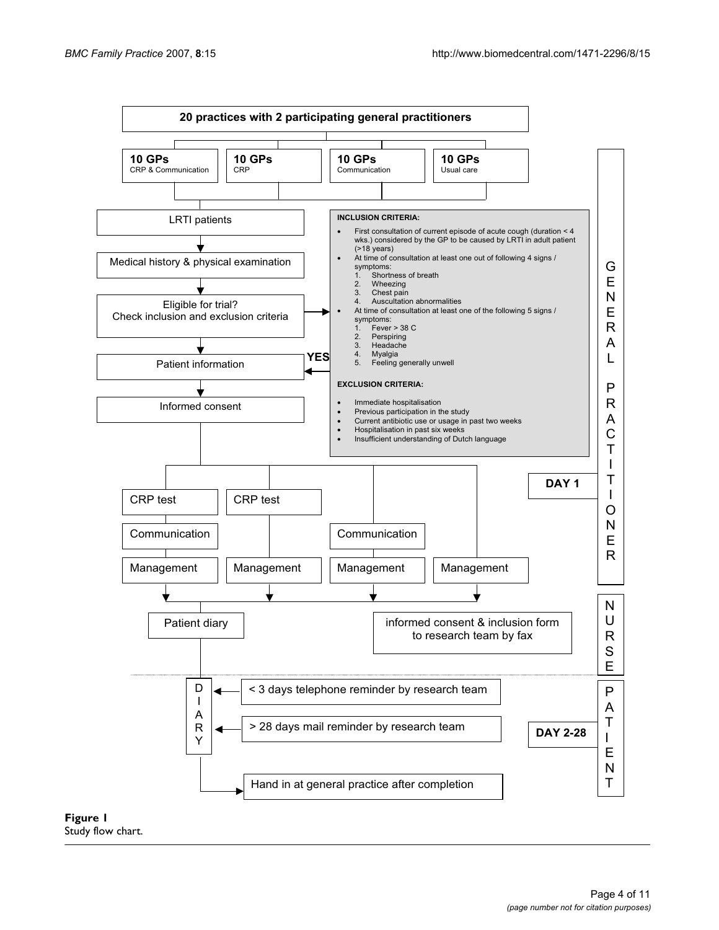

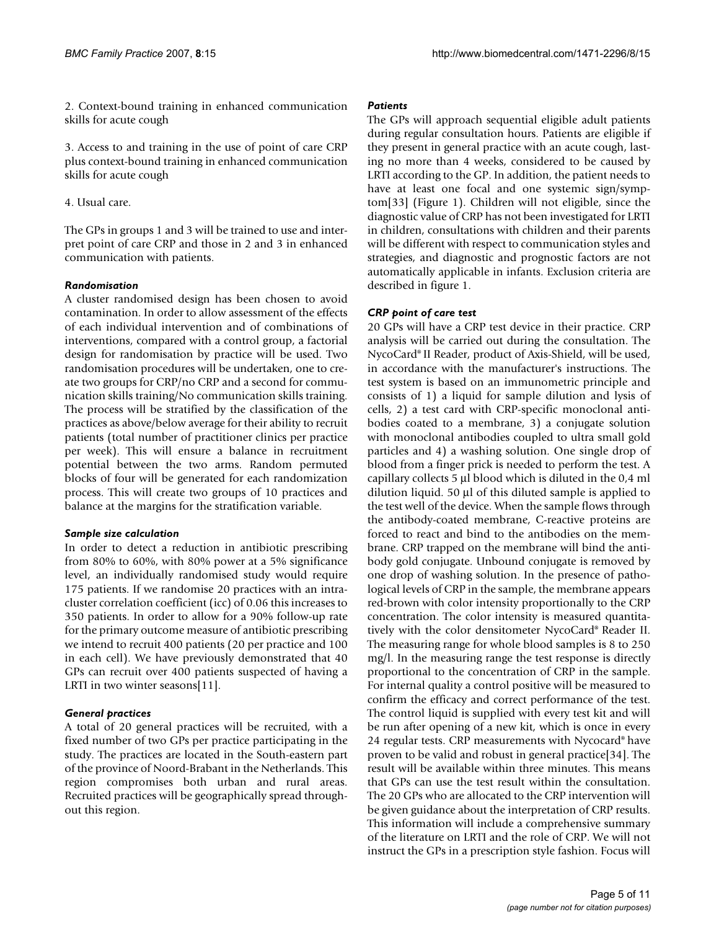2. Context-bound training in enhanced communication skills for acute cough

3. Access to and training in the use of point of care CRP plus context-bound training in enhanced communication skills for acute cough

### 4. Usual care.

The GPs in groups 1 and 3 will be trained to use and interpret point of care CRP and those in 2 and 3 in enhanced communication with patients.

### *Randomisation*

A cluster randomised design has been chosen to avoid contamination. In order to allow assessment of the effects of each individual intervention and of combinations of interventions, compared with a control group, a factorial design for randomisation by practice will be used. Two randomisation procedures will be undertaken, one to create two groups for CRP/no CRP and a second for communication skills training/No communication skills training. The process will be stratified by the classification of the practices as above/below average for their ability to recruit patients (total number of practitioner clinics per practice per week). This will ensure a balance in recruitment potential between the two arms. Random permuted blocks of four will be generated for each randomization process. This will create two groups of 10 practices and balance at the margins for the stratification variable.

### *Sample size calculation*

In order to detect a reduction in antibiotic prescribing from 80% to 60%, with 80% power at a 5% significance level, an individually randomised study would require 175 patients. If we randomise 20 practices with an intracluster correlation coefficient (icc) of 0.06 this increases to 350 patients. In order to allow for a 90% follow-up rate for the primary outcome measure of antibiotic prescribing we intend to recruit 400 patients (20 per practice and 100 in each cell). We have previously demonstrated that 40 GPs can recruit over 400 patients suspected of having a LRTI in two winter seasons[11].

# *General practices*

A total of 20 general practices will be recruited, with a fixed number of two GPs per practice participating in the study. The practices are located in the South-eastern part of the province of Noord-Brabant in the Netherlands. This region compromises both urban and rural areas. Recruited practices will be geographically spread throughout this region.

### *Patients*

The GPs will approach sequential eligible adult patients during regular consultation hours. Patients are eligible if they present in general practice with an acute cough, lasting no more than 4 weeks, considered to be caused by LRTI according to the GP. In addition, the patient needs to have at least one focal and one systemic sign/symptom[33] (Figure 1). Children will not eligible, since the diagnostic value of CRP has not been investigated for LRTI in children, consultations with children and their parents will be different with respect to communication styles and strategies, and diagnostic and prognostic factors are not automatically applicable in infants. Exclusion criteria are described in figure 1.

# *CRP point of care test*

20 GPs will have a CRP test device in their practice. CRP analysis will be carried out during the consultation. The NycoCard® II Reader, product of Axis-Shield, will be used, in accordance with the manufacturer's instructions. The test system is based on an immunometric principle and consists of 1) a liquid for sample dilution and lysis of cells, 2) a test card with CRP-specific monoclonal antibodies coated to a membrane, 3) a conjugate solution with monoclonal antibodies coupled to ultra small gold particles and 4) a washing solution. One single drop of blood from a finger prick is needed to perform the test. A capillary collects 5 μl blood which is diluted in the 0,4 ml dilution liquid. 50 μl of this diluted sample is applied to the test well of the device. When the sample flows through the antibody-coated membrane, C-reactive proteins are forced to react and bind to the antibodies on the membrane. CRP trapped on the membrane will bind the antibody gold conjugate. Unbound conjugate is removed by one drop of washing solution. In the presence of pathological levels of CRP in the sample, the membrane appears red-brown with color intensity proportionally to the CRP concentration. The color intensity is measured quantitatively with the color densitometer NycoCard® Reader II. The measuring range for whole blood samples is 8 to 250 mg/l. In the measuring range the test response is directly proportional to the concentration of CRP in the sample. For internal quality a control positive will be measured to confirm the efficacy and correct performance of the test. The control liquid is supplied with every test kit and will be run after opening of a new kit, which is once in every 24 regular tests. CRP measurements with Nycocard® have proven to be valid and robust in general practice[34]. The result will be available within three minutes. This means that GPs can use the test result within the consultation. The 20 GPs who are allocated to the CRP intervention will be given guidance about the interpretation of CRP results. This information will include a comprehensive summary of the literature on LRTI and the role of CRP. We will not instruct the GPs in a prescription style fashion. Focus will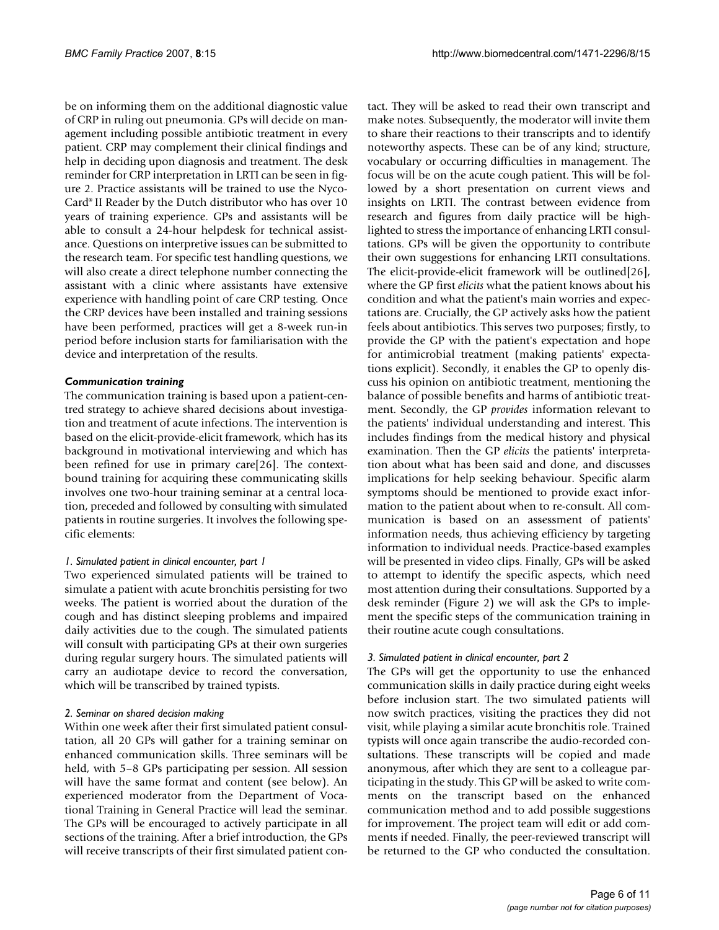be on informing them on the additional diagnostic value of CRP in ruling out pneumonia. GPs will decide on management including possible antibiotic treatment in every patient. CRP may complement their clinical findings and help in deciding upon diagnosis and treatment. The desk reminder for CRP interpretation in LRTI can be seen in figure 2. Practice assistants will be trained to use the Nyco-Card® II Reader by the Dutch distributor who has over 10 years of training experience. GPs and assistants will be able to consult a 24-hour helpdesk for technical assistance. Questions on interpretive issues can be submitted to the research team. For specific test handling questions, we will also create a direct telephone number connecting the assistant with a clinic where assistants have extensive experience with handling point of care CRP testing. Once the CRP devices have been installed and training sessions have been performed, practices will get a 8-week run-in period before inclusion starts for familiarisation with the device and interpretation of the results.

### *Communication training*

The communication training is based upon a patient-centred strategy to achieve shared decisions about investigation and treatment of acute infections. The intervention is based on the elicit-provide-elicit framework, which has its background in motivational interviewing and which has been refined for use in primary care[26]. The contextbound training for acquiring these communicating skills involves one two-hour training seminar at a central location, preceded and followed by consulting with simulated patients in routine surgeries. It involves the following specific elements:

# *1. Simulated patient in clinical encounter, part 1*

Two experienced simulated patients will be trained to simulate a patient with acute bronchitis persisting for two weeks. The patient is worried about the duration of the cough and has distinct sleeping problems and impaired daily activities due to the cough. The simulated patients will consult with participating GPs at their own surgeries during regular surgery hours. The simulated patients will carry an audiotape device to record the conversation, which will be transcribed by trained typists.

### *2. Seminar on shared decision making*

Within one week after their first simulated patient consultation, all 20 GPs will gather for a training seminar on enhanced communication skills. Three seminars will be held, with 5–8 GPs participating per session. All session will have the same format and content (see below). An experienced moderator from the Department of Vocational Training in General Practice will lead the seminar. The GPs will be encouraged to actively participate in all sections of the training. After a brief introduction, the GPs will receive transcripts of their first simulated patient contact. They will be asked to read their own transcript and make notes. Subsequently, the moderator will invite them to share their reactions to their transcripts and to identify noteworthy aspects. These can be of any kind; structure, vocabulary or occurring difficulties in management. The focus will be on the acute cough patient. This will be followed by a short presentation on current views and insights on LRTI. The contrast between evidence from research and figures from daily practice will be highlighted to stress the importance of enhancing LRTI consultations. GPs will be given the opportunity to contribute their own suggestions for enhancing LRTI consultations. The elicit-provide-elicit framework will be outlined[26], where the GP first *elicits* what the patient knows about his condition and what the patient's main worries and expectations are. Crucially, the GP actively asks how the patient feels about antibiotics. This serves two purposes; firstly, to provide the GP with the patient's expectation and hope for antimicrobial treatment (making patients' expectations explicit). Secondly, it enables the GP to openly discuss his opinion on antibiotic treatment, mentioning the balance of possible benefits and harms of antibiotic treatment. Secondly, the GP *provides* information relevant to the patients' individual understanding and interest. This includes findings from the medical history and physical examination. Then the GP *elicits* the patients' interpretation about what has been said and done, and discusses implications for help seeking behaviour. Specific alarm symptoms should be mentioned to provide exact information to the patient about when to re-consult. All communication is based on an assessment of patients' information needs, thus achieving efficiency by targeting information to individual needs. Practice-based examples will be presented in video clips. Finally, GPs will be asked to attempt to identify the specific aspects, which need most attention during their consultations. Supported by a desk reminder (Figure 2) we will ask the GPs to implement the specific steps of the communication training in their routine acute cough consultations.

# *3. Simulated patient in clinical encounter, part 2*

The GPs will get the opportunity to use the enhanced communication skills in daily practice during eight weeks before inclusion start. The two simulated patients will now switch practices, visiting the practices they did not visit, while playing a similar acute bronchitis role. Trained typists will once again transcribe the audio-recorded consultations. These transcripts will be copied and made anonymous, after which they are sent to a colleague participating in the study. This GP will be asked to write comments on the transcript based on the enhanced communication method and to add possible suggestions for improvement. The project team will edit or add comments if needed. Finally, the peer-reviewed transcript will be returned to the GP who conducted the consultation.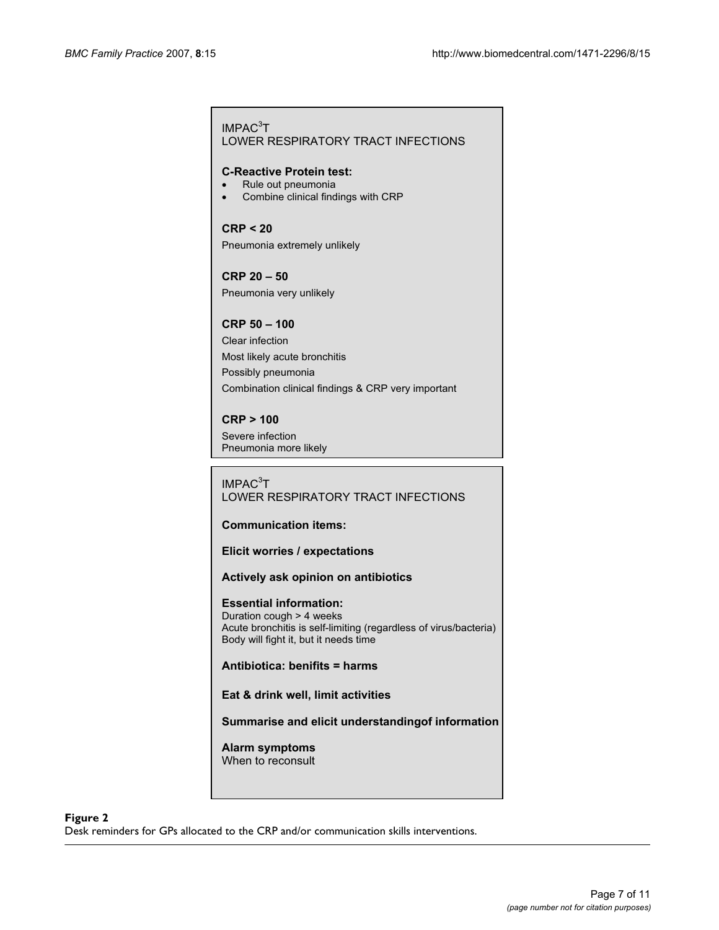# $IMPAC<sup>3</sup>T$ LOWER RESPIRATORY TRACT INFECTIONS

# C-Reactive Protein test:

- Rule out pneumonia
- Combine clinical findings with CRP

# CRP < 20

Pneumonia extremely unlikely

# CRP 20 – 50

Pneumonia very unlikely

# CRP 50 – 100

Clear infection Most likely acute bronchitis Possibly pneumonia Combination clinical findings & CRP very important

# CRP > 100

Severe infection Pneumonia more likely

# $IMPAC<sup>3</sup>T$ LOWER RESPIRATORY TRACT INFECTIONS

Communication items:

Elicit worries / expectations

Actively ask opinion on antibiotics

# Essential information:

Duration cough > 4 weeks Acute bronchitis is self-limiting (regardless of virus/bacteria) Body will fight it, but it needs time

Antibiotica: benifits = harms

Eat & drink well, limit activities

Summarise and elicit understandingof information

Alarm symptoms When to reconsult

# **Figure 2** Desk reminders for GPs allocated to the CRP and or communication skills interventions in the CRP and

Desk reminders for GPs allocated to the CRP and/or communication skills interventions.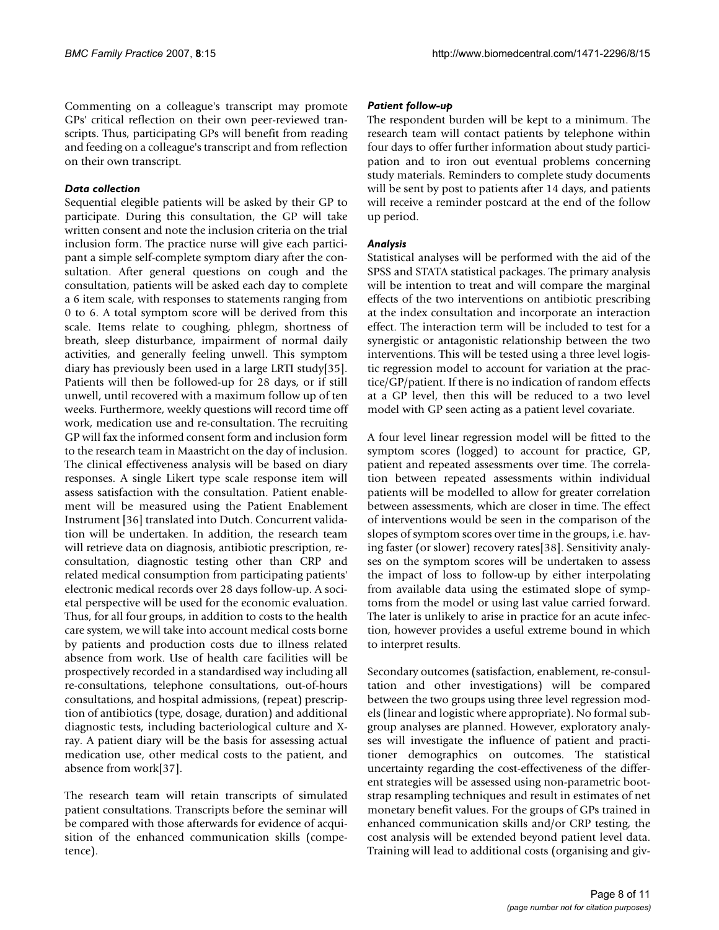Commenting on a colleague's transcript may promote GPs' critical reflection on their own peer-reviewed transcripts. Thus, participating GPs will benefit from reading and feeding on a colleague's transcript and from reflection on their own transcript.

### *Data collection*

Sequential elegible patients will be asked by their GP to participate. During this consultation, the GP will take written consent and note the inclusion criteria on the trial inclusion form. The practice nurse will give each participant a simple self-complete symptom diary after the consultation. After general questions on cough and the consultation, patients will be asked each day to complete a 6 item scale, with responses to statements ranging from 0 to 6. A total symptom score will be derived from this scale. Items relate to coughing, phlegm, shortness of breath, sleep disturbance, impairment of normal daily activities, and generally feeling unwell. This symptom diary has previously been used in a large LRTI study[35]. Patients will then be followed-up for 28 days, or if still unwell, until recovered with a maximum follow up of ten weeks. Furthermore, weekly questions will record time off work, medication use and re-consultation. The recruiting GP will fax the informed consent form and inclusion form to the research team in Maastricht on the day of inclusion. The clinical effectiveness analysis will be based on diary responses. A single Likert type scale response item will assess satisfaction with the consultation. Patient enablement will be measured using the Patient Enablement Instrument [36] translated into Dutch. Concurrent validation will be undertaken. In addition, the research team will retrieve data on diagnosis, antibiotic prescription, reconsultation, diagnostic testing other than CRP and related medical consumption from participating patients' electronic medical records over 28 days follow-up. A societal perspective will be used for the economic evaluation. Thus, for all four groups, in addition to costs to the health care system, we will take into account medical costs borne by patients and production costs due to illness related absence from work. Use of health care facilities will be prospectively recorded in a standardised way including all re-consultations, telephone consultations, out-of-hours consultations, and hospital admissions, (repeat) prescription of antibiotics (type, dosage, duration) and additional diagnostic tests, including bacteriological culture and Xray. A patient diary will be the basis for assessing actual medication use, other medical costs to the patient, and absence from work[37].

The research team will retain transcripts of simulated patient consultations. Transcripts before the seminar will be compared with those afterwards for evidence of acquisition of the enhanced communication skills (competence).

### *Patient follow-up*

The respondent burden will be kept to a minimum. The research team will contact patients by telephone within four days to offer further information about study participation and to iron out eventual problems concerning study materials. Reminders to complete study documents will be sent by post to patients after 14 days, and patients will receive a reminder postcard at the end of the follow up period.

### *Analysis*

Statistical analyses will be performed with the aid of the SPSS and STATA statistical packages. The primary analysis will be intention to treat and will compare the marginal effects of the two interventions on antibiotic prescribing at the index consultation and incorporate an interaction effect. The interaction term will be included to test for a synergistic or antagonistic relationship between the two interventions. This will be tested using a three level logistic regression model to account for variation at the practice/GP/patient. If there is no indication of random effects at a GP level, then this will be reduced to a two level model with GP seen acting as a patient level covariate.

A four level linear regression model will be fitted to the symptom scores (logged) to account for practice, GP, patient and repeated assessments over time. The correlation between repeated assessments within individual patients will be modelled to allow for greater correlation between assessments, which are closer in time. The effect of interventions would be seen in the comparison of the slopes of symptom scores over time in the groups, i.e. having faster (or slower) recovery rates[38]. Sensitivity analyses on the symptom scores will be undertaken to assess the impact of loss to follow-up by either interpolating from available data using the estimated slope of symptoms from the model or using last value carried forward. The later is unlikely to arise in practice for an acute infection, however provides a useful extreme bound in which to interpret results.

Secondary outcomes (satisfaction, enablement, re-consultation and other investigations) will be compared between the two groups using three level regression models (linear and logistic where appropriate). No formal subgroup analyses are planned. However, exploratory analyses will investigate the influence of patient and practitioner demographics on outcomes. The statistical uncertainty regarding the cost-effectiveness of the different strategies will be assessed using non-parametric bootstrap resampling techniques and result in estimates of net monetary benefit values. For the groups of GPs trained in enhanced communication skills and/or CRP testing, the cost analysis will be extended beyond patient level data. Training will lead to additional costs (organising and giv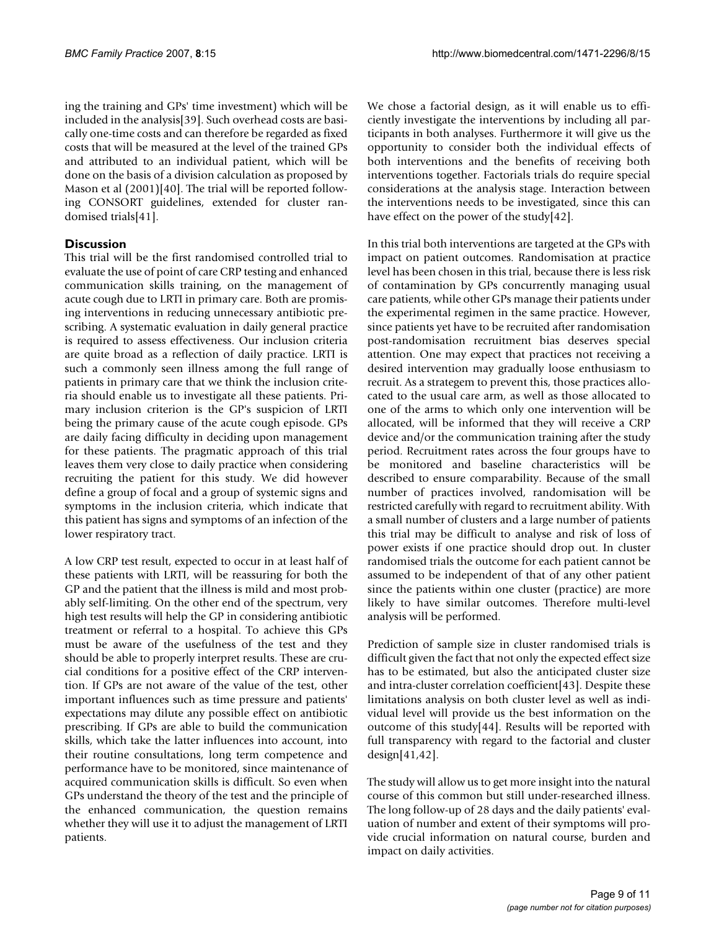ing the training and GPs' time investment) which will be included in the analysis[39]. Such overhead costs are basically one-time costs and can therefore be regarded as fixed costs that will be measured at the level of the trained GPs and attributed to an individual patient, which will be done on the basis of a division calculation as proposed by Mason et al (2001)[40]. The trial will be reported following CONSORT guidelines, extended for cluster randomised trials[41].

# **Discussion**

This trial will be the first randomised controlled trial to evaluate the use of point of care CRP testing and enhanced communication skills training, on the management of acute cough due to LRTI in primary care. Both are promising interventions in reducing unnecessary antibiotic prescribing. A systematic evaluation in daily general practice is required to assess effectiveness. Our inclusion criteria are quite broad as a reflection of daily practice. LRTI is such a commonly seen illness among the full range of patients in primary care that we think the inclusion criteria should enable us to investigate all these patients. Primary inclusion criterion is the GP's suspicion of LRTI being the primary cause of the acute cough episode. GPs are daily facing difficulty in deciding upon management for these patients. The pragmatic approach of this trial leaves them very close to daily practice when considering recruiting the patient for this study. We did however define a group of focal and a group of systemic signs and symptoms in the inclusion criteria, which indicate that this patient has signs and symptoms of an infection of the lower respiratory tract.

A low CRP test result, expected to occur in at least half of these patients with LRTI, will be reassuring for both the GP and the patient that the illness is mild and most probably self-limiting. On the other end of the spectrum, very high test results will help the GP in considering antibiotic treatment or referral to a hospital. To achieve this GPs must be aware of the usefulness of the test and they should be able to properly interpret results. These are crucial conditions for a positive effect of the CRP intervention. If GPs are not aware of the value of the test, other important influences such as time pressure and patients' expectations may dilute any possible effect on antibiotic prescribing. If GPs are able to build the communication skills, which take the latter influences into account, into their routine consultations, long term competence and performance have to be monitored, since maintenance of acquired communication skills is difficult. So even when GPs understand the theory of the test and the principle of the enhanced communication, the question remains whether they will use it to adjust the management of LRTI patients.

We chose a factorial design, as it will enable us to efficiently investigate the interventions by including all participants in both analyses. Furthermore it will give us the opportunity to consider both the individual effects of both interventions and the benefits of receiving both interventions together. Factorials trials do require special considerations at the analysis stage. Interaction between the interventions needs to be investigated, since this can have effect on the power of the study[42].

In this trial both interventions are targeted at the GPs with impact on patient outcomes. Randomisation at practice level has been chosen in this trial, because there is less risk of contamination by GPs concurrently managing usual care patients, while other GPs manage their patients under the experimental regimen in the same practice. However, since patients yet have to be recruited after randomisation post-randomisation recruitment bias deserves special attention. One may expect that practices not receiving a desired intervention may gradually loose enthusiasm to recruit. As a strategem to prevent this, those practices allocated to the usual care arm, as well as those allocated to one of the arms to which only one intervention will be allocated, will be informed that they will receive a CRP device and/or the communication training after the study period. Recruitment rates across the four groups have to be monitored and baseline characteristics will be described to ensure comparability. Because of the small number of practices involved, randomisation will be restricted carefully with regard to recruitment ability. With a small number of clusters and a large number of patients this trial may be difficult to analyse and risk of loss of power exists if one practice should drop out. In cluster randomised trials the outcome for each patient cannot be assumed to be independent of that of any other patient since the patients within one cluster (practice) are more likely to have similar outcomes. Therefore multi-level analysis will be performed.

Prediction of sample size in cluster randomised trials is difficult given the fact that not only the expected effect size has to be estimated, but also the anticipated cluster size and intra-cluster correlation coefficient[43]. Despite these limitations analysis on both cluster level as well as individual level will provide us the best information on the outcome of this study[44]. Results will be reported with full transparency with regard to the factorial and cluster design[41,42].

The study will allow us to get more insight into the natural course of this common but still under-researched illness. The long follow-up of 28 days and the daily patients' evaluation of number and extent of their symptoms will provide crucial information on natural course, burden and impact on daily activities.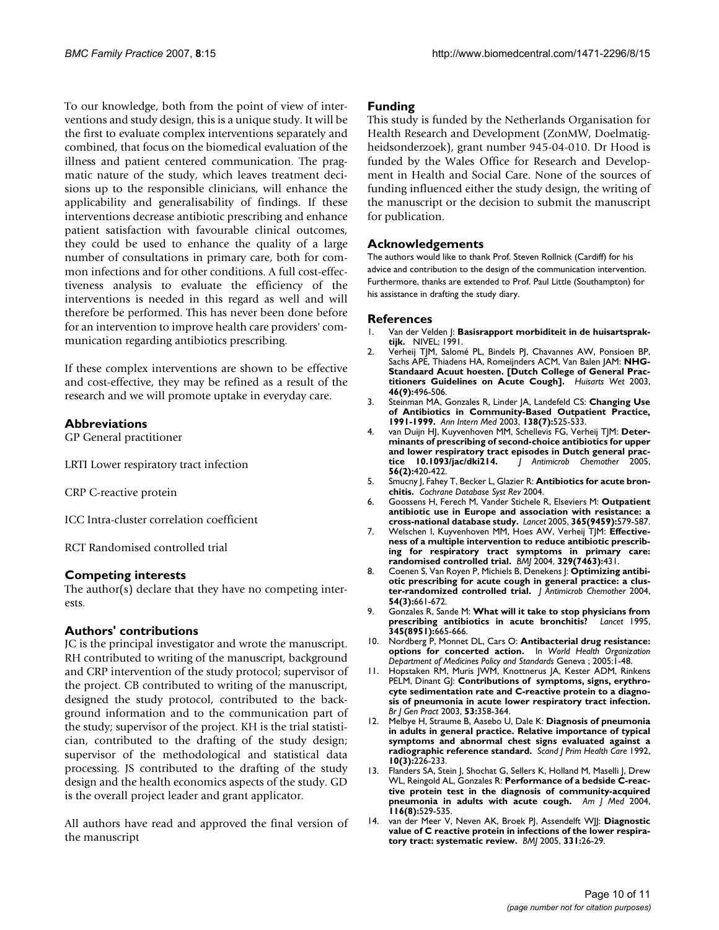To our knowledge, both from the point of view of interventions and study design, this is a unique study. It will be the first to evaluate complex interventions separately and combined, that focus on the biomedical evaluation of the illness and patient centered communication. The pragmatic nature of the study, which leaves treatment decisions up to the responsible clinicians, will enhance the applicability and generalisability of findings. If these interventions decrease antibiotic prescribing and enhance patient satisfaction with favourable clinical outcomes, they could be used to enhance the quality of a large number of consultations in primary care, both for common infections and for other conditions. A full cost-effectiveness analysis to evaluate the efficiency of the interventions is needed in this regard as well and will therefore be performed. This has never been done before for an intervention to improve health care providers' communication regarding antibiotics prescribing.

If these complex interventions are shown to be effective and cost-effective, they may be refined as a result of the research and we will promote uptake in everyday care.

### **Abbreviations**

GP General practitioner

LRTI Lower respiratory tract infection

CRP C-reactive protein

ICC Intra-cluster correlation coefficient

RCT Randomised controlled trial

### **Competing interests**

The author(s) declare that they have no competing interests.

### **Authors' contributions**

JC is the principal investigator and wrote the manuscript. RH contributed to writing of the manuscript, background and CRP intervention of the study protocol; supervisor of the project. CB contributed to writing of the manuscript, designed the study protocol, contributed to the background information and to the communication part of the study; supervisor of the project. KH is the trial statistician, contributed to the drafting of the study design; supervisor of the methodological and statistical data processing. JS contributed to the drafting of the study design and the health economics aspects of the study. GD is the overall project leader and grant applicator.

All authors have read and approved the final version of the manuscript

### **Funding**

This study is funded by the Netherlands Organisation for Health Research and Development (ZonMW, Doelmatigheidsonderzoek), grant number 945-04-010. Dr Hood is funded by the Wales Office for Research and Development in Health and Social Care. None of the sources of funding influenced either the study design, the writing of the manuscript or the decision to submit the manuscript for publication.

### **Acknowledgements**

The authors would like to thank Prof. Steven Rollnick (Cardiff) for his advice and contribution to the design of the communication intervention. Furthermore, thanks are extended to Prof. Paul Little (Southampton) for his assistance in drafting the study diary.

### **References**

- 1. Van der Velden J: Basisrapport morbiditeit in de huisartsprak**tijk.** NIVEL; 1991.
- 2. Verheij TJM, Salomé PL, Bindels PJ, Chavannes AW, Ponsioen BP, Sachs APE, Thiadens HA, Romeijnders ACM, Van Balen JAM: **NHG-Standaard Acuut hoesten. [Dutch College of General Practitioners Guidelines on Acute Cough].** *Huisarts Wet* 2003, **46(9):**496-506.
- 3. Steinman MA, Gonzales R, Linder JA, Landefeld CS: **[Changing Use](http://www.ncbi.nlm.nih.gov/entrez/query.fcgi?cmd=Retrieve&db=PubMed&dopt=Abstract&list_uids=12667022) [of Antibiotics in Community-Based Outpatient Practice,](http://www.ncbi.nlm.nih.gov/entrez/query.fcgi?cmd=Retrieve&db=PubMed&dopt=Abstract&list_uids=12667022) [1991-1999.](http://www.ncbi.nlm.nih.gov/entrez/query.fcgi?cmd=Retrieve&db=PubMed&dopt=Abstract&list_uids=12667022)** *Ann Intern Med* 2003, **138(7):**525-533.
- 4. van Duijn HJ, Kuyvenhoven MM, Schellevis FG, Verheij TJM: **[Deter](http://www.ncbi.nlm.nih.gov/entrez/query.fcgi?cmd=Retrieve&db=PubMed&dopt=Abstract&list_uids=15961433)[minants of prescribing of second-choice antibiotics for upper](http://www.ncbi.nlm.nih.gov/entrez/query.fcgi?cmd=Retrieve&db=PubMed&dopt=Abstract&list_uids=15961433)** and lower respiratory tract episodes in Dutch general prac-<br>tice **10.1093/jac/dki214.** J Antimicrob Chemother 2005, **[tice 10.1093/jac/dki214.](http://www.ncbi.nlm.nih.gov/entrez/query.fcgi?cmd=Retrieve&db=PubMed&dopt=Abstract&list_uids=15961433)** *J Antimicrob Chemother* 2005, **56(2):**420-422.
- 5. Smucny J, Fahey T, Becker L, Glazier R: **Antibiotics for acute bronchitis.** *Cochrane Database Syst Rev* 2004.
- 6. Goossens H, Ferech M, Vander Stichele R, Elseviers M: **[Outpatient](http://www.ncbi.nlm.nih.gov/entrez/query.fcgi?cmd=Retrieve&db=PubMed&dopt=Abstract&list_uids=15708101) [antibiotic use in Europe and association with resistance: a](http://www.ncbi.nlm.nih.gov/entrez/query.fcgi?cmd=Retrieve&db=PubMed&dopt=Abstract&list_uids=15708101) [cross-national database study.](http://www.ncbi.nlm.nih.gov/entrez/query.fcgi?cmd=Retrieve&db=PubMed&dopt=Abstract&list_uids=15708101)** *Lancet* 2005, **365(9459):**579-587.
- 7. Welschen I, Kuyvenhoven MM, Hoes AW, Verheij TJM: **[Effective](http://www.ncbi.nlm.nih.gov/entrez/query.fcgi?cmd=Retrieve&db=PubMed&dopt=Abstract&list_uids=15297305)[ness of a multiple intervention to reduce antibiotic prescrib](http://www.ncbi.nlm.nih.gov/entrez/query.fcgi?cmd=Retrieve&db=PubMed&dopt=Abstract&list_uids=15297305)ing for respiratory tract symptoms in primary care: [randomised controlled trial.](http://www.ncbi.nlm.nih.gov/entrez/query.fcgi?cmd=Retrieve&db=PubMed&dopt=Abstract&list_uids=15297305)** *BMJ* 2004, **329(7463):**431.
- 8. Coenen S, Van Royen P, Michiels B, Denekens J: **[Optimizing antibi](http://www.ncbi.nlm.nih.gov/entrez/query.fcgi?cmd=Retrieve&db=PubMed&dopt=Abstract&list_uids=15282232)[otic prescribing for acute cough in general practice: a clus](http://www.ncbi.nlm.nih.gov/entrez/query.fcgi?cmd=Retrieve&db=PubMed&dopt=Abstract&list_uids=15282232)[ter-randomized controlled trial.](http://www.ncbi.nlm.nih.gov/entrez/query.fcgi?cmd=Retrieve&db=PubMed&dopt=Abstract&list_uids=15282232)** *J Antimicrob Chemother* 2004, **54(3):**661-672.
- 9. Gonzales R, Sande M: **[What will it take to stop physicians from](http://www.ncbi.nlm.nih.gov/entrez/query.fcgi?cmd=Retrieve&db=PubMed&dopt=Abstract&list_uids=7885119) [prescribing antibiotics in acute bronchitis?](http://www.ncbi.nlm.nih.gov/entrez/query.fcgi?cmd=Retrieve&db=PubMed&dopt=Abstract&list_uids=7885119)** *Lancet* 1995, **345(8951):**665-666.
- 10. Nordberg P, Monnet DL, Cars O: **Antibacterial drug resistance: options for concerted action.** In *World Health Organization Department of Medicines Policy and Standards* Geneva ; 2005:1-48.
- 11. Hopstaken RM, Muris JWM, Knottnerus JA, Kester ADM, Rinkens PELM, Dinant GJ: **[Contributions of symptoms, signs, erythro](http://www.ncbi.nlm.nih.gov/entrez/query.fcgi?cmd=Retrieve&db=PubMed&dopt=Abstract&list_uids=12830562)[cyte sedimentation rate and C-reactive protein to a diagno](http://www.ncbi.nlm.nih.gov/entrez/query.fcgi?cmd=Retrieve&db=PubMed&dopt=Abstract&list_uids=12830562)sis of pneumonia in acute lower respiratory tract infection.** *Br J Gen Pract* 2003, **53:**358-364.
- 12. Melbye H, Straume B, Aasebo U, Dale K: **[Diagnosis of pneumonia](http://www.ncbi.nlm.nih.gov/entrez/query.fcgi?cmd=Retrieve&db=PubMed&dopt=Abstract&list_uids=1410955) [in adults in general practice. Relative importance of typical](http://www.ncbi.nlm.nih.gov/entrez/query.fcgi?cmd=Retrieve&db=PubMed&dopt=Abstract&list_uids=1410955) symptoms and abnormal chest signs evaluated against a [radiographic reference standard.](http://www.ncbi.nlm.nih.gov/entrez/query.fcgi?cmd=Retrieve&db=PubMed&dopt=Abstract&list_uids=1410955)** *Scand J Prim Health Care* 1992, **10(3):**226-233.
- 13. Flanders SA, Stein J, Shochat G, Sellers K, Holland M, Maselli J, Drew WL, Reingold AL, Gonzales R: **[Performance of a bedside C-reac](http://www.ncbi.nlm.nih.gov/entrez/query.fcgi?cmd=Retrieve&db=PubMed&dopt=Abstract&list_uids=15063814)[tive protein test in the diagnosis of community-acquired](http://www.ncbi.nlm.nih.gov/entrez/query.fcgi?cmd=Retrieve&db=PubMed&dopt=Abstract&list_uids=15063814) [pneumonia in adults with acute cough.](http://www.ncbi.nlm.nih.gov/entrez/query.fcgi?cmd=Retrieve&db=PubMed&dopt=Abstract&list_uids=15063814)** *Am J Med* 2004, **116(8):**529-535.
- 14. van der Meer V, Neven AK, Broek PJ, Assendelft WJJ: **[Diagnostic](http://www.ncbi.nlm.nih.gov/entrez/query.fcgi?cmd=Retrieve&db=PubMed&dopt=Abstract&list_uids=15979984)** [value of C reactive protein in infections of the lower respira](http://www.ncbi.nlm.nih.gov/entrez/query.fcgi?cmd=Retrieve&db=PubMed&dopt=Abstract&list_uids=15979984)**[tory tract: systematic review.](http://www.ncbi.nlm.nih.gov/entrez/query.fcgi?cmd=Retrieve&db=PubMed&dopt=Abstract&list_uids=15979984)** *BMJ* 2005, **331:**26-29.